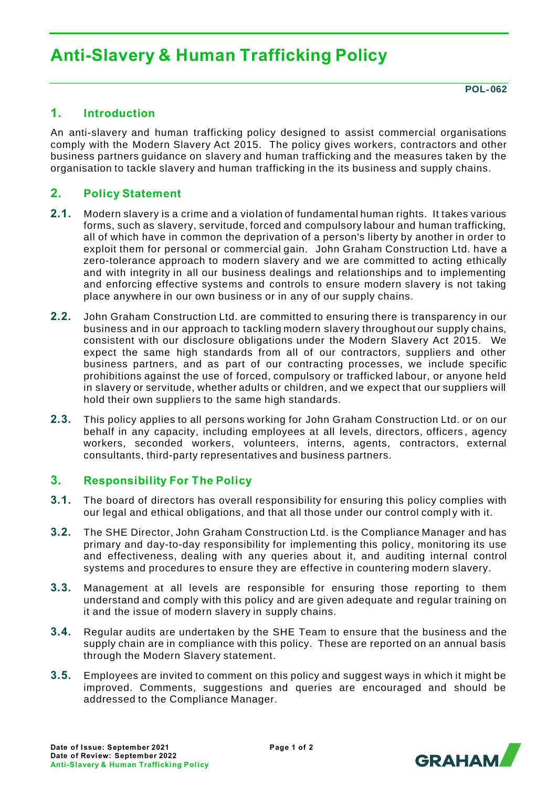# **Anti-Slavery & Human Trafficking Policy**

**POL**‐ **062**

# **1. Introduction**

An anti-slavery and human trafficking policy designed to assist commercial organisations comply with the Modern Slavery Act 2015. The policy gives workers, contractors and other business partners guidance on slavery and human trafficking and the measures taken by the organisation to tackle slavery and human trafficking in the its business and supply chains.

## **2. Policy Statement**

- **2.1.** Modern slavery is a crime and a violation of fundamental human rights. It takes various forms, such as slavery, servitude, forced and compulsory labour and human trafficking, all of which have in common the deprivation of a person's liberty by another in order to exploit them for personal or commercial gain. John Graham Construction Ltd. have a zero-tolerance approach to modern slavery and we are committed to acting ethically and with integrity in all our business dealings and relationships and to implementing and enforcing effective systems and controls to ensure modern slavery is not taking place anywhere in our own business or in any of our supply chains.
- **2.2.** John Graham Construction Ltd. are committed to ensuring there is transparency in our business and in our approach to tackling modern slavery throughout our supply chains, consistent with our disclosure obligations under the Modern Slavery Act 2015. We expect the same high standards from all of our contractors, suppliers and other business partners, and as part of our contracting processes, we include specific prohibitions against the use of forced, compulsory or trafficked labour, or anyone held in slavery or servitude, whether adults or children, and we expect that our suppliers will hold their own suppliers to the same high standards.
- **2.3.** This policy applies to all persons working for John Graham Construction Ltd. or on our behalf in any capacity, including employees at all levels, directors, officers , agency workers, seconded workers, volunteers, interns, agents, contractors, external consultants, third-party representatives and business partners.

#### **3. Responsibility For The Policy**

- **3.1.** The board of directors has overall responsibility for ensuring this policy complies with our legal and ethical obligations, and that all those under our control comply with it.
- **3.2.** The SHE Director, John Graham Construction Ltd. is the Compliance Manager and has primary and day-to-day responsibility for implementing this policy, monitoring its use and effectiveness, dealing with any queries about it, and auditing internal control systems and procedures to ensure they are effective in countering modern slavery.
- **3.3.** Management at all levels are responsible for ensuring those reporting to them understand and comply with this policy and are given adequate and regular training on it and the issue of modern slavery in supply chains.
- **3.4.** Regular audits are undertaken by the SHE Team to ensure that the business and the supply chain are in compliance with this policy. These are reported on an annual basis through the Modern Slavery statement.
- **3.5.** Employees are invited to comment on this policy and suggest ways in which it might be improved. Comments, suggestions and queries are encouraged and should be addressed to the Compliance Manager.